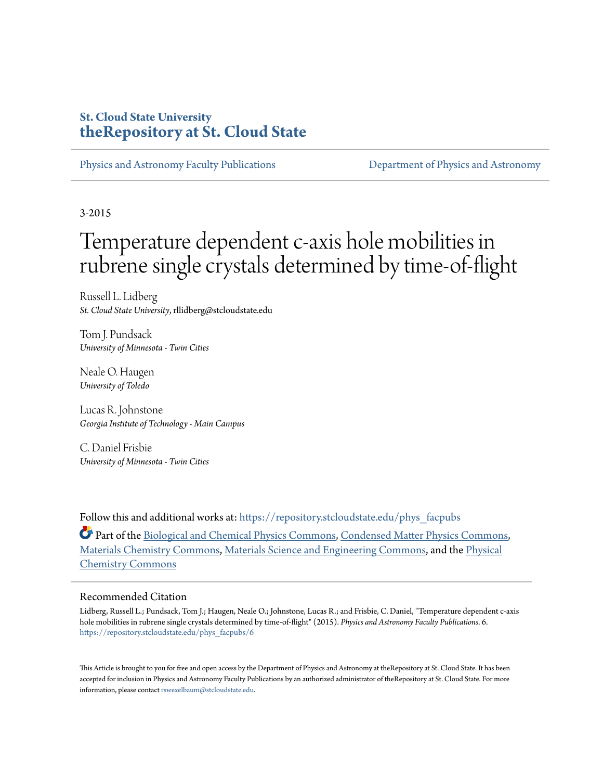## **St. Cloud State University [theRepository at St. Cloud State](https://repository.stcloudstate.edu?utm_source=repository.stcloudstate.edu%2Fphys_facpubs%2F6&utm_medium=PDF&utm_campaign=PDFCoverPages)**

[Physics and Astronomy Faculty Publications](https://repository.stcloudstate.edu/phys_facpubs?utm_source=repository.stcloudstate.edu%2Fphys_facpubs%2F6&utm_medium=PDF&utm_campaign=PDFCoverPages) [Department of Physics and Astronomy](https://repository.stcloudstate.edu/phys?utm_source=repository.stcloudstate.edu%2Fphys_facpubs%2F6&utm_medium=PDF&utm_campaign=PDFCoverPages)

3-2015

## Temperature dependent c-axis hole mobilities in rubrene single crystals determined by time-of-flight

Russell L. Lidberg *St. Cloud State University*, rllidberg@stcloudstate.edu

Tom J. Pundsack *University of Minnesota - Twin Cities*

Neale O. Haugen *University of Toledo*

Lucas R. Johnstone *Georgia Institute of Technology - Main Campus*

C. Daniel Frisbie *University of Minnesota - Twin Cities*

Follow this and additional works at: [https://repository.stcloudstate.edu/phys\\_facpubs](https://repository.stcloudstate.edu/phys_facpubs?utm_source=repository.stcloudstate.edu%2Fphys_facpubs%2F6&utm_medium=PDF&utm_campaign=PDFCoverPages)

Part of the [Biological and Chemical Physics Commons](http://network.bepress.com/hgg/discipline/196?utm_source=repository.stcloudstate.edu%2Fphys_facpubs%2F6&utm_medium=PDF&utm_campaign=PDFCoverPages), [Condensed Matter Physics Commons,](http://network.bepress.com/hgg/discipline/197?utm_source=repository.stcloudstate.edu%2Fphys_facpubs%2F6&utm_medium=PDF&utm_campaign=PDFCoverPages) [Materials Chemistry Commons](http://network.bepress.com/hgg/discipline/135?utm_source=repository.stcloudstate.edu%2Fphys_facpubs%2F6&utm_medium=PDF&utm_campaign=PDFCoverPages), [Materials Science and Engineering Commons,](http://network.bepress.com/hgg/discipline/285?utm_source=repository.stcloudstate.edu%2Fphys_facpubs%2F6&utm_medium=PDF&utm_campaign=PDFCoverPages) and the [Physical](http://network.bepress.com/hgg/discipline/139?utm_source=repository.stcloudstate.edu%2Fphys_facpubs%2F6&utm_medium=PDF&utm_campaign=PDFCoverPages) [Chemistry Commons](http://network.bepress.com/hgg/discipline/139?utm_source=repository.stcloudstate.edu%2Fphys_facpubs%2F6&utm_medium=PDF&utm_campaign=PDFCoverPages)

## Recommended Citation

Lidberg, Russell L.; Pundsack, Tom J.; Haugen, Neale O.; Johnstone, Lucas R.; and Frisbie, C. Daniel, "Temperature dependent c-axis hole mobilities in rubrene single crystals determined by time-of-flight" (2015). *Physics and Astronomy Faculty Publications*. 6. [https://repository.stcloudstate.edu/phys\\_facpubs/6](https://repository.stcloudstate.edu/phys_facpubs/6?utm_source=repository.stcloudstate.edu%2Fphys_facpubs%2F6&utm_medium=PDF&utm_campaign=PDFCoverPages)

This Article is brought to you for free and open access by the Department of Physics and Astronomy at theRepository at St. Cloud State. It has been accepted for inclusion in Physics and Astronomy Faculty Publications by an authorized administrator of theRepository at St. Cloud State. For more information, please contact [rswexelbaum@stcloudstate.edu.](mailto:rswexelbaum@stcloudstate.edu)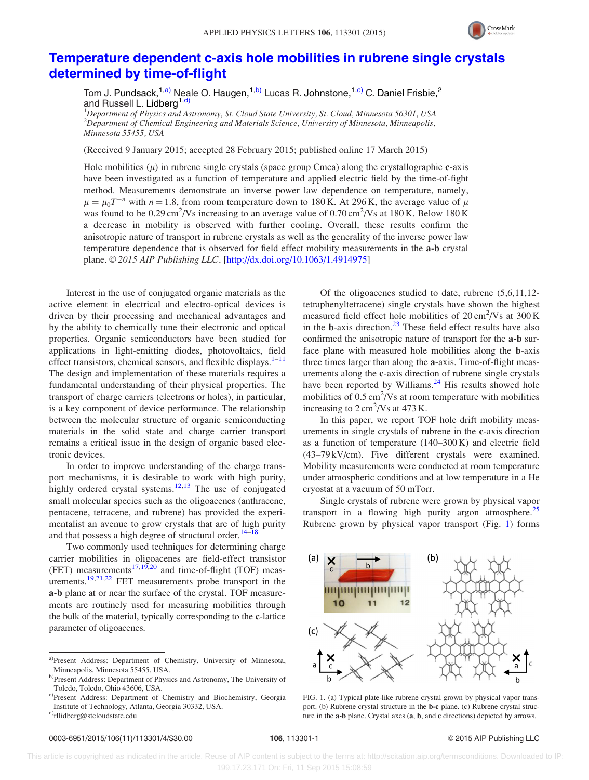

## <span id="page-1-0"></span>[Temperature dependent c-axis hole mobilities in rubrene single crystals](http://dx.doi.org/10.1063/1.4914975) [determined by time-of-flight](http://dx.doi.org/10.1063/1.4914975)

Tom J. Pundsack,<sup>1,a)</sup> Neale O. Haugen,<sup>1,b)</sup> Lucas R. Johnstone,<sup>1,c)</sup> C. Daniel Frisbie,<sup>2</sup> and Russell L. Lidberg<sup>1,d)</sup>

<sup>1</sup>Department of Physics and Astronomy, St. Cloud State University, St. Cloud, Minnesota 56301, USA  $^{2}$ Department of Chemical Engineering and Materials Science, University of Minnesota, Minneapolis, Minnesota 55455, USA

(Received 9 January 2015; accepted 28 February 2015; published online 17 March 2015)

Hole mobilities  $(\mu)$  in rubrene single crystals (space group Cmca) along the crystallographic c-axis have been investigated as a function of temperature and applied electric field by the time-of-fight method. Measurements demonstrate an inverse power law dependence on temperature, namely,  $\mu = \mu_0 T^{-n}$  with  $n = 1.8$ , from room temperature down to 180 K. At 296 K, the average value of  $\mu$ was found to be  $0.29 \text{ cm}^2/\text{Vs}$  increasing to an average value of  $0.70 \text{ cm}^2/\text{Vs}$  at 180 K. Below 180 K a decrease in mobility is observed with further cooling. Overall, these results confirm the anisotropic nature of transport in rubrene crystals as well as the generality of the inverse power law temperature dependence that is observed for field effect mobility measurements in the a-b crystal plane. © 2015 AIP Publishing LLC. [[http://dx.doi.org/10.1063/1.4914975\]](http://dx.doi.org/10.1063/1.4914975)

Interest in the use of conjugated organic materials as the active element in electrical and electro-optical devices is driven by their processing and mechanical advantages and by the ability to chemically tune their electronic and optical properties. Organic semiconductors have been studied for applications in light-emitting diodes, photovoltaics, field effect transistors, chemical sensors, and flexible displays. $1-11$ The design and implementation of these materials requires a fundamental understanding of their physical properties. The transport of charge carriers (electrons or holes), in particular, is a key component of device performance. The relationship between the molecular structure of organic semiconducting materials in the solid state and charge carrier transport remains a critical issue in the design of organic based electronic devices.

In order to improve understanding of the charge transport mechanisms, it is desirable to work with high purity, highly ordered crystal systems.<sup>[12,13](#page-4-0)</sup> The use of conjugated small molecular species such as the oligoacenes (anthracene, pentacene, tetracene, and rubrene) has provided the experimentalist an avenue to grow crystals that are of high purity and that possess a high degree of structural order.<sup>[14](#page-4-0)–[18](#page-4-0)</sup>

Two commonly used techniques for determining charge carrier mobilities in oligoacenes are field-effect transistor (FET) measurements<sup>[17,19,20](#page-4-0)</sup> and time-of-flight (TOF) meas-urements.<sup>[19,21,22](#page-4-0)</sup> FET measurements probe transport in the a-b plane at or near the surface of the crystal. TOF measurements are routinely used for measuring mobilities through the bulk of the material, typically corresponding to the c-lattice parameter of oligoacenes.

Of the oligoacenes studied to date, rubrene (5,6,11,12 tetraphenyltetracene) single crystals have shown the highest measured field effect hole mobilities of  $20 \text{ cm}^2/\text{Vs}$  at  $300 \text{ K}$ in the  $b$ -axis direction.<sup>[23](#page-4-0)</sup> These field effect results have also confirmed the anisotropic nature of transport for the a-b surface plane with measured hole mobilities along the b-axis three times larger than along the a-axis. Time-of-flight measurements along the c-axis direction of rubrene single crystals have been reported by Williams.<sup>[24](#page-4-0)</sup> His results showed hole mobilities of  $0.5 \text{ cm}^2/\text{Vs}$  at room temperature with mobilities increasing to  $2 \text{ cm}^2/\text{Vs}$  at 473 K.

In this paper, we report TOF hole drift mobility measurements in single crystals of rubrene in the c-axis direction as a function of temperature (140–300 K) and electric field (43–79 kV/cm). Five different crystals were examined. Mobility measurements were conducted at room temperature under atmospheric conditions and at low temperature in a He cryostat at a vacuum of 50 mTorr.

Single crystals of rubrene were grown by physical vapor transport in a flowing high purity argon atmosphere.<sup>[25](#page-4-0)</sup> Rubrene grown by physical vapor transport (Fig. 1) forms



FIG. 1. (a) Typical plate-like rubrene crystal grown by physical vapor transport. (b) Rubrene crystal structure in the b-c plane. (c) Rubrene crystal structure in the a-b plane. Crystal axes (a, b, and c directions) depicted by arrows.

a)Present Address: Department of Chemistry, University of Minnesota, Minneapolis, Minnesota 55455, USA.

b)Present Address: Department of Physics and Astronomy, The University of Toledo, Toledo, Ohio 43606, USA.

c)Present Address: Department of Chemistry and Biochemistry, Georgia Institute of Technology, Atlanta, Georgia 30332, USA.

d[\)rllidberg@stcloudstate.edu](mailto:rllidberg@stcloudstate.edu)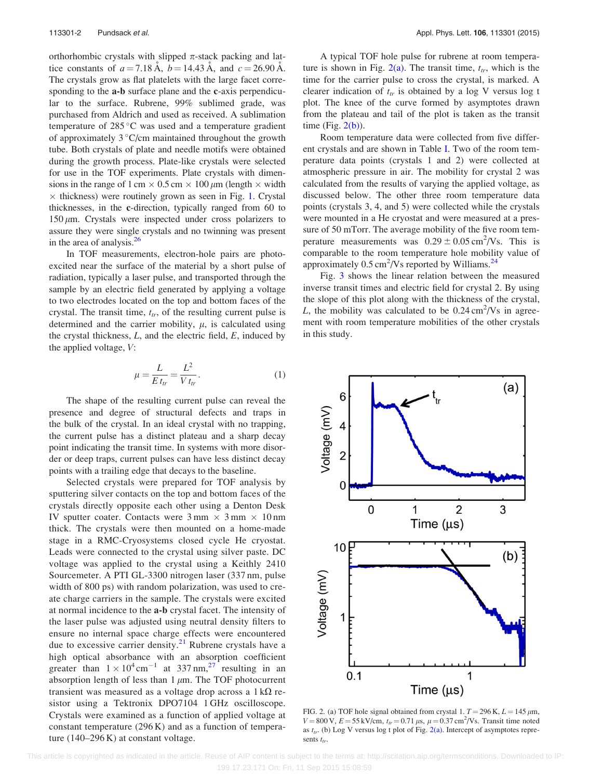<span id="page-2-0"></span>orthorhombic crystals with slipped  $\pi$ -stack packing and lattice constants of  $a = 7.18 \text{ Å}$ ,  $b = 14.43 \text{ Å}$ , and  $c = 26.90 \text{ Å}$ . The crystals grow as flat platelets with the large facet corresponding to the a-b surface plane and the c-axis perpendicular to the surface. Rubrene, 99% sublimed grade, was purchased from Aldrich and used as received. A sublimation temperature of  $285^{\circ}$ C was used and a temperature gradient of approximately  $3^{\circ}$ C/cm maintained throughout the growth tube. Both crystals of plate and needle motifs were obtained during the growth process. Plate-like crystals were selected for use in the TOF experiments. Plate crystals with dimensions in the range of 1 cm  $\times$  0.5 cm  $\times$  100  $\mu$ m (length  $\times$  width  $\times$  thickness) were routinely grown as seen in Fig. [1.](#page-1-0) Crystal thicknesses, in the c-direction, typically ranged from 60 to  $150 \mu m$ . Crystals were inspected under cross polarizers to assure they were single crystals and no twinning was present in the area of analysis. $26$ 

In TOF measurements, electron-hole pairs are photoexcited near the surface of the material by a short pulse of radiation, typically a laser pulse, and transported through the sample by an electric field generated by applying a voltage to two electrodes located on the top and bottom faces of the crystal. The transit time,  $t_{tr}$ , of the resulting current pulse is determined and the carrier mobility,  $\mu$ , is calculated using the crystal thickness,  $L$ , and the electric field,  $E$ , induced by the applied voltage, V:

$$
\mu = \frac{L}{E t_{tr}} = \frac{L^2}{V t_{tr}}.\tag{1}
$$

The shape of the resulting current pulse can reveal the presence and degree of structural defects and traps in the bulk of the crystal. In an ideal crystal with no trapping, the current pulse has a distinct plateau and a sharp decay point indicating the transit time. In systems with more disorder or deep traps, current pulses can have less distinct decay points with a trailing edge that decays to the baseline.

Selected crystals were prepared for TOF analysis by sputtering silver contacts on the top and bottom faces of the crystals directly opposite each other using a Denton Desk IV sputter coater. Contacts were  $3 \text{ mm} \times 3 \text{ mm} \times 10 \text{ nm}$ thick. The crystals were then mounted on a home-made stage in a RMC-Cryosystems closed cycle He cryostat. Leads were connected to the crystal using silver paste. DC voltage was applied to the crystal using a Keithly 2410 Sourcemeter. A PTI GL-3300 nitrogen laser (337 nm, pulse width of 800 ps) with random polarization, was used to create charge carriers in the sample. The crystals were excited at normal incidence to the a-b crystal facet. The intensity of the laser pulse was adjusted using neutral density filters to ensure no internal space charge effects were encountered due to excessive carrier density.<sup>[21](#page-4-0)</sup> Rubrene crystals have a high optical absorbance with an absorption coefficient greater than  $1 \times 10^4 \text{ cm}^{-1}$  at 337 nm,<sup>[27](#page-4-0)</sup> resulting in an absorption length of less than  $1 \mu m$ . The TOF photocurrent transient was measured as a voltage drop across a  $1 \text{ k}\Omega$  resistor using a Tektronix DPO7104 1 GHz oscilloscope. Crystals were examined as a function of applied voltage at constant temperature (296 K) and as a function of temperature (140–296 K) at constant voltage.

A typical TOF hole pulse for rubrene at room temperature is shown in Fig.  $2(a)$ . The transit time,  $t_{tr}$ , which is the time for the carrier pulse to cross the crystal, is marked. A clearer indication of  $t_{tr}$  is obtained by a log V versus log t plot. The knee of the curve formed by asymptotes drawn from the plateau and tail of the plot is taken as the transit time (Fig.  $2(b)$ ).

Room temperature data were collected from five different crystals and are shown in Table [I](#page-3-0). Two of the room temperature data points (crystals 1 and 2) were collected at atmospheric pressure in air. The mobility for crystal 2 was calculated from the results of varying the applied voltage, as discussed below. The other three room temperature data points (crystals 3, 4, and 5) were collected while the crystals were mounted in a He cryostat and were measured at a pressure of 50 mTorr. The average mobility of the five room temperature measurements was  $0.29 \pm 0.05 \text{ cm}^2/\text{Vs}$ . This is comparable to the room temperature hole mobility value of approximately  $0.5 \text{ cm}^2/\text{Vs}$  reported by Williams.<sup>[24](#page-4-0)</sup>

Fig. [3](#page-3-0) shows the linear relation between the measured inverse transit times and electric field for crystal 2. By using the slope of this plot along with the thickness of the crystal, L, the mobility was calculated to be  $0.24 \text{ cm}^2/\text{Vs}$  in agreement with room temperature mobilities of the other crystals in this study.



FIG. 2. (a) TOF hole signal obtained from crystal 1.  $T = 296$  K,  $L = 145 \mu m$ ,  $V = 800 \text{ V}, E = 55 \text{ kV/cm}, t_{tr} = 0.71 \mu\text{s}, \mu = 0.37 \text{ cm}^2/\text{Vs}$ . Transit time noted as  $t_{tr}$ . (b) Log V versus log t plot of Fig. 2(a). Intercept of asymptotes represents  $t_{tr}$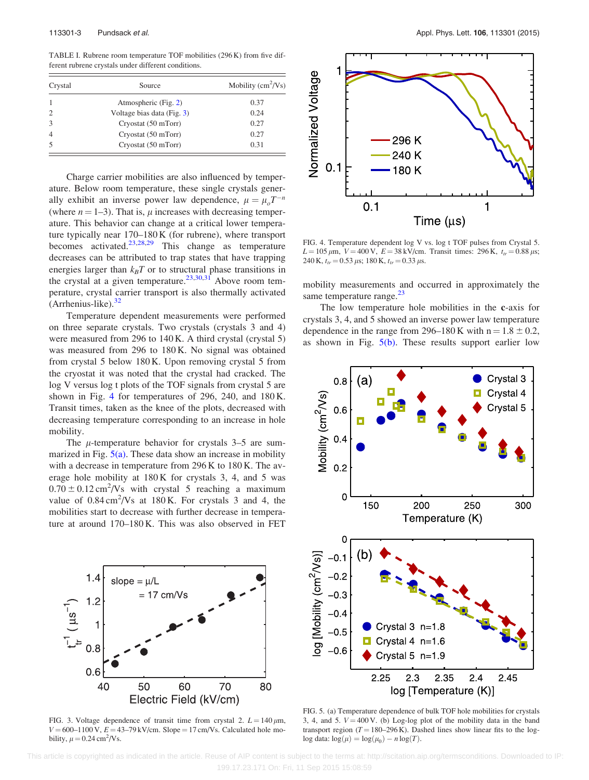<span id="page-3-0"></span>TABLE I. Rubrene room temperature TOF mobilities (296 K) from five different rubrene crystals under different conditions.

| Crystal        | Source                     | Mobility $\text{cm}^2/\text{Vs}$ ) |
|----------------|----------------------------|------------------------------------|
|                | Atmospheric (Fig. 2)       | 0.37                               |
|                | Voltage bias data (Fig. 3) | 0.24                               |
|                | Cryostat (50 mTorr)        | 0.27                               |
| $\overline{4}$ | Cryostat (50 mTorr)        | 0.27                               |
|                | Cryostat (50 mTorr)        | 0.31                               |

Charge carrier mobilities are also influenced by temperature. Below room temperature, these single crystals generally exhibit an inverse power law dependence,  $\mu = \mu_o T^{-n}$ (where  $n = 1-3$ ). That is,  $\mu$  increases with decreasing temperature. This behavior can change at a critical lower temperature typically near 170–180 K (for rubrene), where transport becomes activated.<sup>[23](#page-4-0),[28,29](#page-4-0)</sup> This change as temperature decreases can be attributed to trap states that have trapping energies larger than  $k_B T$  or to structural phase transitions in the crystal at a given temperature.<sup>23,30,31</sup> Above room temperature, crystal carrier transport is also thermally activated  $(Arrhenius-like)$ .<sup>[32](#page-4-0)</sup>

Temperature dependent measurements were performed on three separate crystals. Two crystals (crystals 3 and 4) were measured from 296 to 140 K. A third crystal (crystal 5) was measured from 296 to 180 K. No signal was obtained from crystal 5 below 180 K. Upon removing crystal 5 from the cryostat it was noted that the crystal had cracked. The log V versus log t plots of the TOF signals from crystal 5 are shown in Fig. 4 for temperatures of 296, 240, and 180 K. Transit times, taken as the knee of the plots, decreased with decreasing temperature corresponding to an increase in hole mobility.

The  $\mu$ -temperature behavior for crystals 3–5 are summarized in Fig.  $5(a)$ . These data show an increase in mobility with a decrease in temperature from 296 K to 180 K. The average hole mobility at 180 K for crystals 3, 4, and 5 was  $0.70 \pm 0.12 \text{ cm}^2/\text{Vs}$  with crystal 5 reaching a maximum value of  $0.84 \text{ cm}^2/\text{Vs}$  at 180 K. For crystals 3 and 4, the mobilities start to decrease with further decrease in temperature at around 170–180 K. This was also observed in FET



FIG. 3. Voltage dependence of transit time from crystal 2.  $L = 140 \mu m$ ,  $V = 600-1100 \text{ V}$ ,  $E = 43-79 \text{ kV/cm}$ . Slope = 17 cm/Vs. Calculated hole mobility,  $\mu = 0.24 \text{ cm}^2/\text{Vs}.$ 



FIG. 4. Temperature dependent log V vs. log t TOF pulses from Crystal 5.  $L = 105 \mu m$ ,  $V = 400 \text{ V}$ ,  $E = 38 \text{ kV/cm}$ . Transit times: 296 K,  $t_r = 0.88 \mu s$ ; 240 K,  $t_r = 0.53 \,\mu s$ ; 180 K,  $t_r = 0.33 \,\mu s$ .

mobility measurements and occurred in approximately the same temperature range.<sup>[23](#page-4-0)</sup>

The low temperature hole mobilities in the c-axis for crystals 3, 4, and 5 showed an inverse power law temperature dependence in the range from 296–180 K with  $n = 1.8 \pm 0.2$ , as shown in Fig.  $5(b)$ . These results support earlier low



FIG. 5. (a) Temperature dependence of bulk TOF hole mobilities for crystals 3, 4, and 5.  $V = 400$  V. (b) Log-log plot of the mobility data in the band transport region  $(T = 180-296 \text{ K})$ . Dashed lines show linear fits to the log $log data: log(\mu) = log(\mu_0) - n log(T).$ 

 This article is copyrighted as indicated in the article. Reuse of AIP content is subject to the terms at: http://scitation.aip.org/termsconditions. Downloaded to IP: 199.17.23.171 On: Fri, 11 Sep 2015 15:08:59